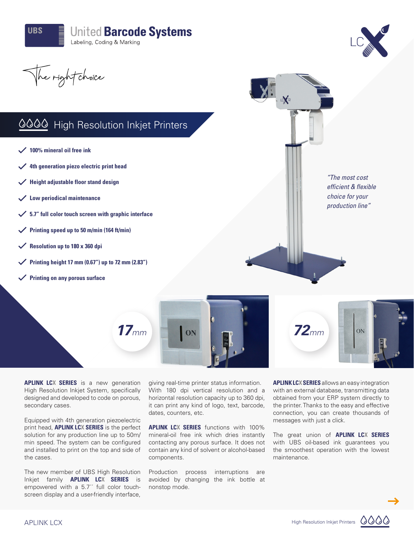



The right choice

# 0000 High Resolution Inkjet Printers

- **100% mineral oil free ink**
- **4th generation piezo electric print head**
- **Height adjustable floor stand design**
- **Low periodical maintenance**
- **5.7" full color touch screen with graphic interface**
- **Printing speed up to 50 m/min (164 ft/min)**
- **Resolution up to 180 x 360 dpi**
- **Printing height 17 mm (0.67") up to 72 mm (2.83")**
- **Printing on any porous surface**





XI.



*"The most cost efficient & flexible choice for your production line"*

**APLINK LCX SERIES** is a new generation High Resolution Inkjet System, specifically designed and developed to code on porous, secondary cases.

Equipped with 4th generation piezoelectric print head, **APLINK LCX SERIES** is the perfect solution for any production line up to 50m/ min speed. The system can be configured and installed to print on the top and side of the cases.

The new member of UBS High Resolution Inkjet family **APLINK LCX SERIES** is empowered with a 5.7<sup>"</sup> full color touchscreen display and a user-friendly interface,

giving real-time printer status information. With 180 dpi vertical resolution and a horizontal resolution capacity up to 360 dpi, it can print any kind of logo, text, barcode, dates, counters, etc.

**APLINK LCX SERIES** functions with 100% mineral-oil free ink which dries instantly contacting any porous surface. It does not contain any kind of solvent or alcohol-based components.

Production process interruptions are avoided by changing the ink bottle at nonstop mode.

**APLINK LCX SERIES** allows an easy integration with an external database, transmitting data obtained from your ERP system directly to the printer. Thanks to the easy and effective connection, you can create thousands of messages with just a click.

The great union of **APLINK LCX SERIES** with UBS oil-based ink guarantees you the smoothest operation with the lowest maintenance.